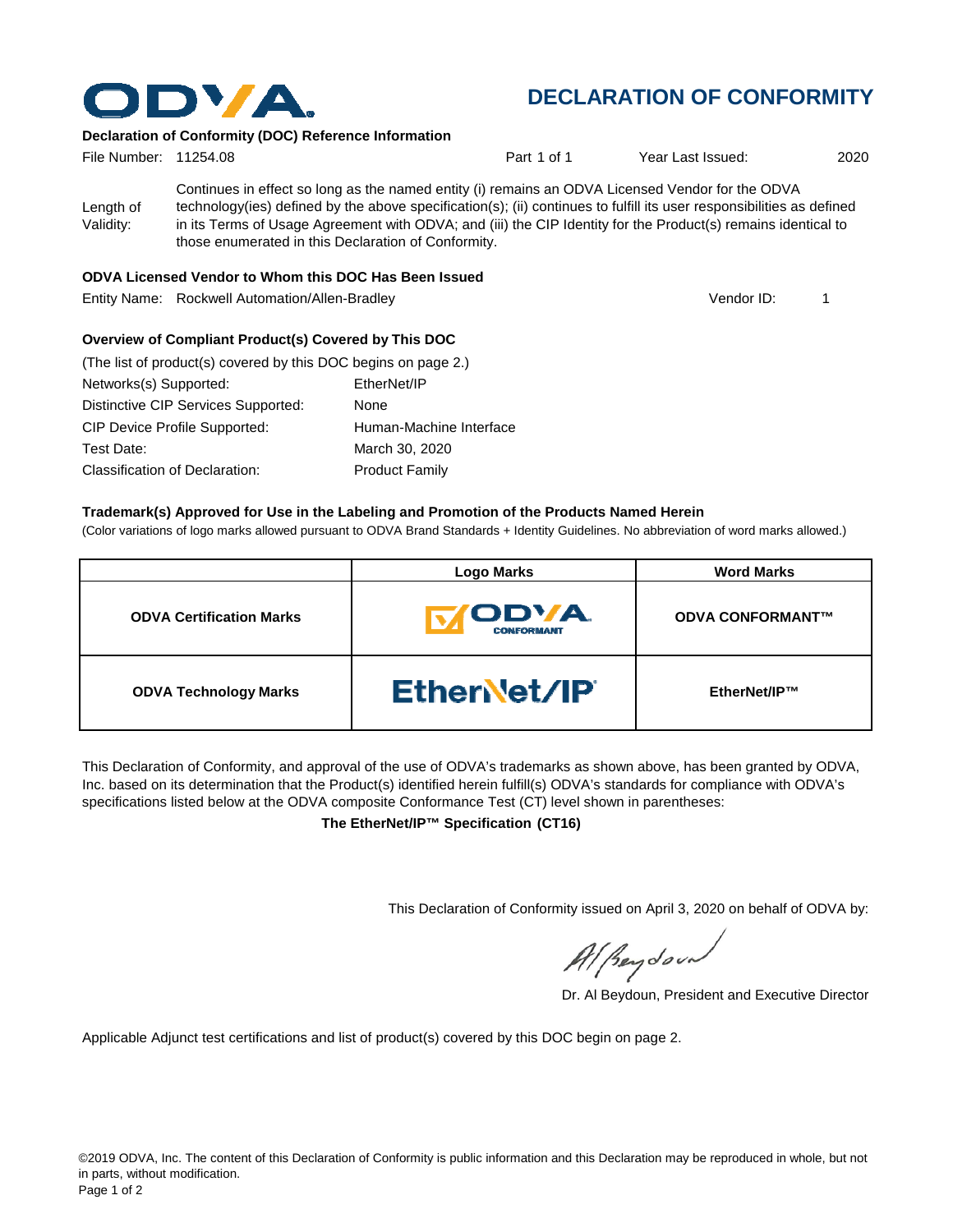

# **DECLARATION OF CONFORMITY**

### **Declaration of Conformity (DOC) Reference Information**

| File Number: 11254.08  |                                                                                                                                                                                                                                                                                                                                                                                                   | Part 1 of 1 | Year Last Issued: | 2020 |
|------------------------|---------------------------------------------------------------------------------------------------------------------------------------------------------------------------------------------------------------------------------------------------------------------------------------------------------------------------------------------------------------------------------------------------|-------------|-------------------|------|
| Length of<br>Validity: | Continues in effect so long as the named entity (i) remains an ODVA Licensed Vendor for the ODVA<br>technology(ies) defined by the above specification(s); (ii) continues to fulfill its user responsibilities as defined<br>in its Terms of Usage Agreement with ODVA; and (iii) the CIP Identity for the Product(s) remains identical to<br>those enumerated in this Declaration of Conformity. |             |                   |      |

#### **ODVA Licensed Vendor to Whom this DOC Has Been Issued**

Entity Name: Rockwell Automation/Allen-Bradley 1

Vendor ID:

## **Overview of Compliant Product(s) Covered by This DOC**

| (The list of product(s) covered by this DOC begins on page 2.) |                         |
|----------------------------------------------------------------|-------------------------|
| Networks(s) Supported:                                         | EtherNet/IP             |
| Distinctive CIP Services Supported:                            | None                    |
| <b>CIP Device Profile Supported:</b>                           | Human-Machine Interface |
| Test Date:                                                     | March 30, 2020          |
| Classification of Declaration:                                 | <b>Product Family</b>   |

#### **Trademark(s) Approved for Use in the Labeling and Promotion of the Products Named Herein**

(Color variations of logo marks allowed pursuant to ODVA Brand Standards + Identity Guidelines. No abbreviation of word marks allowed.)

|                                 | <b>Logo Marks</b>           | <b>Word Marks</b>       |
|---------------------------------|-----------------------------|-------------------------|
| <b>ODVA Certification Marks</b> | 'ODVA.<br><b>CONFORMANT</b> | <b>ODVA CONFORMANT™</b> |
| <b>ODVA Technology Marks</b>    | <b>Ethervet/IP</b>          | EtherNet/IP™            |

This Declaration of Conformity, and approval of the use of ODVA's trademarks as shown above, has been granted by ODVA, Inc. based on its determination that the Product(s) identified herein fulfill(s) ODVA's standards for compliance with ODVA's specifications listed below at the ODVA composite Conformance Test (CT) level shown in parentheses:

**The EtherNet/IP™ Specification (CT16)**

This Declaration of Conformity issued on April 3, 2020 on behalf of ODVA by:

Al peydound

Dr. Al Beydoun, President and Executive Director

Applicable Adjunct test certifications and list of product(s) covered by this DOC begin on page 2.